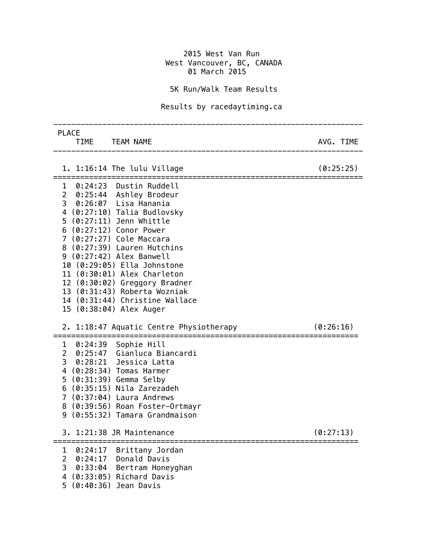## 2015 West Van Run West Vancouver, BC, CANADA 01 March 2015

## 5K Run/Walk Team Results

## Results by racedaytiming.ca

| <b>PLACE</b><br>TIME TEAM NAME                                                                                                                                                                                                                                                                                                                                                                                                                          | AVG. TIME |
|---------------------------------------------------------------------------------------------------------------------------------------------------------------------------------------------------------------------------------------------------------------------------------------------------------------------------------------------------------------------------------------------------------------------------------------------------------|-----------|
| 1. 1:16:14 The lulu Village                                                                                                                                                                                                                                                                                                                                                                                                                             | (0:25:25) |
| 1 0:24:23 Dustin Ruddell<br>2 0:25:44 Ashley Brodeur<br>3 0:26:07 Lisa Hanania<br>4 (0:27:10) Talia Budlovsky<br>5 (0:27:11) Jenn Whittle<br>6 (0:27:12) Conor Power<br>7 (0:27:27) Cole Maccara<br>8 (0:27:39) Lauren Hutchins<br>9 (0:27:42) Alex Banwell<br>10 (0:29:05) Ella Johnstone<br>11 (0:30:01) Alex Charleton<br>12 (0:30:02) Greggory Bradner<br>13 (0:31:43) Roberta Wozniak<br>14 (0:31:44) Christine Wallace<br>15 (0:38:04) Alex Auger |           |
| 2. 1:18:47 Aquatic Centre Physiotherapy                                                                                                                                                                                                                                                                                                                                                                                                                 | (0:26:16) |
| 1 0:24:39 Sophie Hill<br>2 0:25:47 Gianluca Biancardi<br>3 0:28:21 Jessica Latta<br>4 (0:28:34) Tomas Harmer<br>5 (0:31:39) Gemma Selby<br>$6$ $(0:35:15)$ Nila Zarezadeh<br>7 (0:37:04) Laura Andrews<br>8 (0:39:56) Roan Foster-Ortmayr<br>9 (0:55:32) Tamara Grandmaison                                                                                                                                                                             |           |
| $\mathbf{P}$<br>1:21:38 JR Maintenance                                                                                                                                                                                                                                                                                                                                                                                                                  | (0:27:13) |
| 0:24:17 Brittany Jordan<br>1<br>$\overline{2}$<br>0:24:17 Donald Davis<br>3 0:33:04 Bertram Honeyghan<br>4 (0:33:05) Richard Davis<br>5 (0:40:36) Jean Davis                                                                                                                                                                                                                                                                                            |           |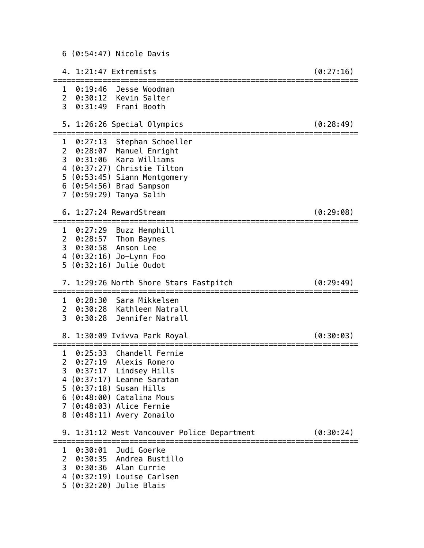6 (0:54:47) Nicole Davis

 4. 1:21:47 Extremists (0:27:16) ==================================================================== 1 0:19:46 Jesse Woodman 2 0:30:12 Kevin Salter 3 0:31:49 Frani Booth 5. 1:26:26 Special Olympics (0:28:49) ==================================================================== 1 0:27:13 Stephan Schoeller 2 0:28:07 Manuel Enright 3 0:31:06 Kara Williams 4 (0:37:27) Christie Tilton 5 (0:53:45) Siann Montgomery 6 (0:54:56) Brad Sampson 7 (0:59:29) Tanya Salih 6. 1:27:24 RewardStream (0:29:08) ==================================================================== 1 0:27:29 Buzz Hemphill 2 0:28:57 Thom Baynes 3 0:30:58 Anson Lee 4 (0:32:16) Jo-Lynn Foo 5 (0:32:16) Julie Oudot 7. 1:29:26 North Shore Stars Fastpitch (0:29:49) ==================================================================== 1 0:28:30 Sara Mikkelsen 2 0:30:28 Kathleen Natrall 3 0:30:28 Jennifer Natrall 8. 1:30:09 Ivivva Park Royal (0:30:03) ==================================================================== 1 0:25:33 Chandell Fernie 2 0:27:19 Alexis Romero 3 0:37:17 Lindsey Hills 4 (0:37:17) Leanne Saratan 5 (0:37:18) Susan Hills 6 (0:48:00) Catalina Mous 7 (0:48:03) Alice Fernie 8 (0:48:11) Avery Zonailo 9. 1:31:12 West Vancouver Police Department (0:30:24) ==================================================================== 1 0:30:01 Judi Goerke 2 0:30:35 Andrea Bustillo 3 0:30:36 Alan Currie 4 (0:32:19) Louise Carlsen

5 (0:32:20) Julie Blais